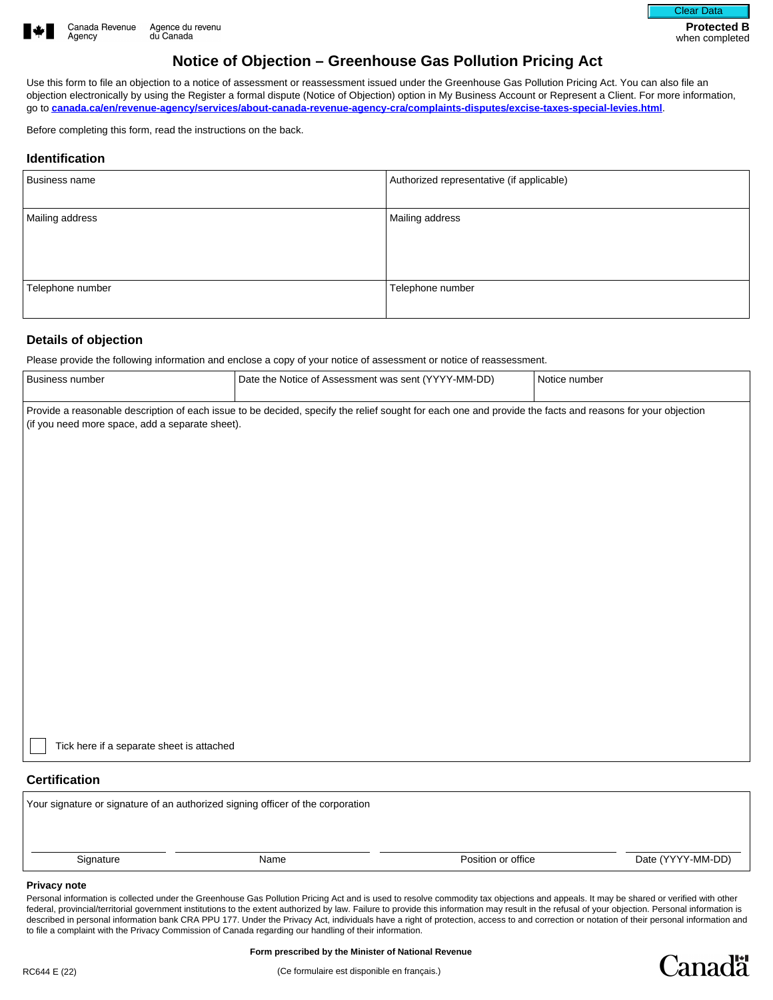



# **Notice of Objection – Greenhouse Gas Pollution Pricing Act**

Use this form to file an objection to a notice of assessment or reassessment issued under the Greenhouse Gas Pollution Pricing Act. You can also file an objection electronically by using the Register a formal dispute (Notice of Objection) option in My Business Account or Represent a Client. For more information, go to **[canada.ca/en/revenue-agency/services/about-canada-revenue-agency-cra/complaints-disputes/excise-taxes-special-levies.html](https://www.canada.ca/en/revenue-agency/services/about-canada-revenue-agency-cra/complaints-disputes/excise-taxes-special-levies.html)**.

Before completing this form, read the instructions on the back.

### **Identification**

| Business name    | Authorized representative (if applicable) |
|------------------|-------------------------------------------|
| Mailing address  | Mailing address                           |
| Telephone number | Telephone number                          |

### **Details of objection**

Please provide the following information and enclose a copy of your notice of assessment or notice of reassessment.

| Business number                                                                                                                                                                                              | Date the Notice of Assessment was sent (YYYY-MM-DD) | Notice number |  |  |  |
|--------------------------------------------------------------------------------------------------------------------------------------------------------------------------------------------------------------|-----------------------------------------------------|---------------|--|--|--|
|                                                                                                                                                                                                              |                                                     |               |  |  |  |
| Provide a reasonable description of each issue to be decided, specify the relief sought for each one and provide the facts and reasons for your objection<br>(if you need more space, add a separate sheet). |                                                     |               |  |  |  |

Tick here if a separate sheet is attached

## **Certification**

| Your signature or signature of an authorized signing officer of the corporation |      |                    |                   |  |  |
|---------------------------------------------------------------------------------|------|--------------------|-------------------|--|--|
|                                                                                 |      |                    |                   |  |  |
| Signature                                                                       | Name | Position or office | Date (YYYY-MM-DD) |  |  |
|                                                                                 |      |                    |                   |  |  |

#### **Privacy note**

Personal information is collected under the Greenhouse Gas Pollution Pricing Act and is used to resolve commodity tax objections and appeals. It may be shared or verified with other federal, provincial/territorial government institutions to the extent authorized by law. Failure to provide this information may result in the refusal of your objection. Personal information is described in personal information bank CRA PPU 177. Under the Privacy Act, individuals have a right of protection, access to and correction or notation of their personal information and to file a complaint with the Privacy Commission of Canada regarding our handling of their information.